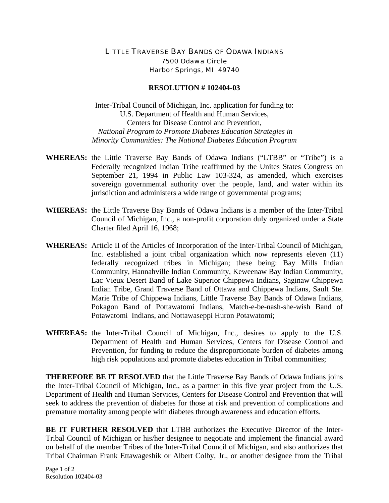## LITTLE TRAVERSE BAY BANDS OF ODAWA INDIANS 7500 Odawa Circle Harbor Springs, MI 49740

## **RESOLUTION # 102404-03**

Inter-Tribal Council of Michigan, Inc. application for funding to: U.S. Department of Health and Human Services, Centers for Disease Control and Prevention, *National Program to Promote Diabetes Education Strategies in Minority Communities: The National Diabetes Education Program* 

- **WHEREAS:** the Little Traverse Bay Bands of Odawa Indians ("LTBB" or "Tribe") is a Federally recognized Indian Tribe reaffirmed by the Unites States Congress on September 21, 1994 in Public Law 103-324, as amended, which exercises sovereign governmental authority over the people, land, and water within its jurisdiction and administers a wide range of governmental programs;
- **WHEREAS:** the Little Traverse Bay Bands of Odawa Indians is a member of the Inter-Tribal Council of Michigan, Inc., a non-profit corporation duly organized under a State Charter filed April 16, 1968;
- **WHEREAS:** Article II of the Articles of Incorporation of the Inter-Tribal Council of Michigan, Inc. established a joint tribal organization which now represents eleven (11) federally recognized tribes in Michigan; these being: Bay Mills Indian Community, Hannahville Indian Community, Keweenaw Bay Indian Community, Lac Vieux Desert Band of Lake Superior Chippewa Indians, Saginaw Chippewa Indian Tribe, Grand Traverse Band of Ottawa and Chippewa Indians, Sault Ste. Marie Tribe of Chippewa Indians, Little Traverse Bay Bands of Odawa Indians, Pokagon Band of Pottawatomi Indians, Match-e-be-nash-she-wish Band of Potawatomi Indians, and Nottawaseppi Huron Potawatomi;
- **WHEREAS:** the Inter-Tribal Council of Michigan, Inc., desires to apply to the U.S. Department of Health and Human Services, Centers for Disease Control and Prevention, for funding to reduce the disproportionate burden of diabetes among high risk populations and promote diabetes education in Tribal communities;

**THEREFORE BE IT RESOLVED** that the Little Traverse Bay Bands of Odawa Indians joins the Inter-Tribal Council of Michigan, Inc., as a partner in this five year project from the U.S. Department of Health and Human Services, Centers for Disease Control and Prevention that will seek to address the prevention of diabetes for those at risk and prevention of complications and premature mortality among people with diabetes through awareness and education efforts.

**BE IT FURTHER RESOLVED** that LTBB authorizes the Executive Director of the Inter-Tribal Council of Michigan or his/her designee to negotiate and implement the financial award on behalf of the member Tribes of the Inter-Tribal Council of Michigan, and also authorizes that Tribal Chairman Frank Ettawageshik or Albert Colby, Jr., or another designee from the Tribal